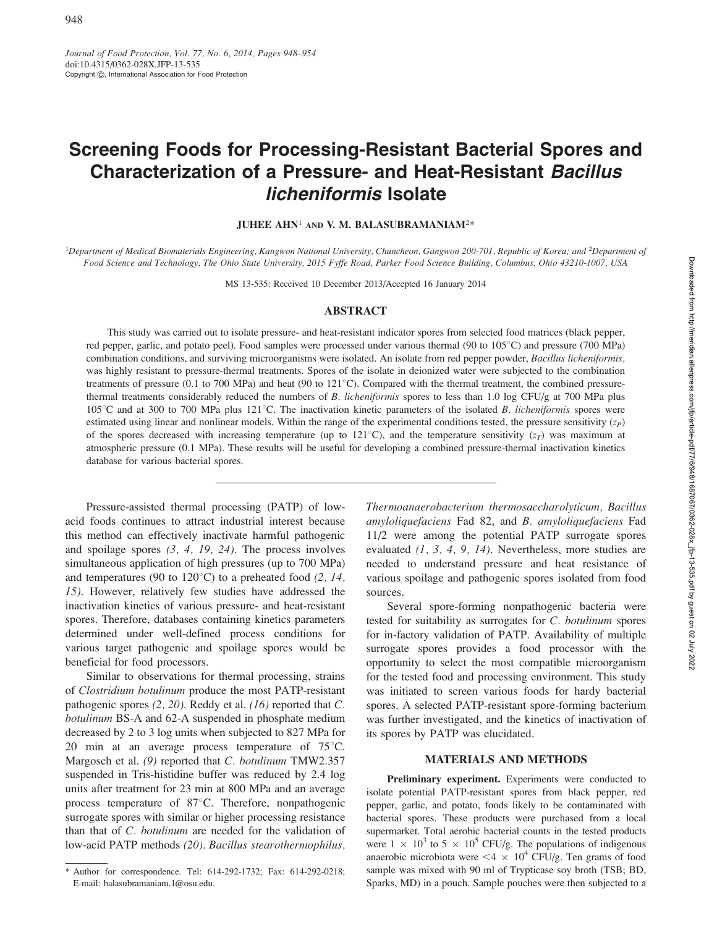Journal of Food Protection, Vol. 77, No. 6, 2014, Pages 948–954 doi:10.4315/0362-028X.JFP-13-535 Copyright G, International Association for Food Protection

# Screening Foods for Processing-Resistant Bacterial Spores and Characterization of a Pressure- and Heat-Resistant Bacillus licheniformis Isolate

JUHEE AHN<sup>1</sup> AND V. M. BALASUBRAMANIAM2\*

<sup>1</sup>Department of Medical Biomaterials Engineering, Kangwon National University, Chuncheon, Gangwon 200-701, Republic of Korea; and <sup>2</sup>Department of Food Science and Technology, The Ohio State University, 2015 Fyffe Road, Parker Food Science Building, Columbus, Ohio 43210-1007, USA

MS 13-535: Received 10 December 2013/Accepted 16 January 2014

#### ABSTRACT

This study was carried out to isolate pressure- and heat-resistant indicator spores from selected food matrices (black pepper, red pepper, garlic, and potato peel). Food samples were processed under various thermal (90 to 105°C) and pressure (700 MPa) combination conditions, and surviving microorganisms were isolated. An isolate from red pepper powder, *Bacillus licheniformis*, was highly resistant to pressure-thermal treatments. Spores of the isolate in deionized water were subjected to the combination treatments of pressure (0.1 to 700 MPa) and heat (90 to  $121^{\circ}$ C). Compared with the thermal treatment, the combined pressurethermal treatments considerably reduced the numbers of B. licheniformis spores to less than 1.0 log CFU/g at 700 MPa plus  $105^{\circ}$ C and at 300 to 700 MPa plus 121 $^{\circ}$ C. The inactivation kinetic parameters of the isolated *B*. *licheniformis* spores were estimated using linear and nonlinear models. Within the range of the experimental conditions tested, the pressure sensitivity  $(z_P)$ of the spores decreased with increasing temperature (up to 121<sup>o</sup>C), and the temperature sensitivity ( $z_T$ ) was maximum at atmospheric pressure (0.1 MPa). These results will be useful for developing a combined pressure-thermal inactivation kinetics database for various bacterial spores.

Pressure-assisted thermal processing (PATP) of lowacid foods continues to attract industrial interest because this method can effectively inactivate harmful pathogenic and spoilage spores  $(3, 4, 19, 24)$ . The process involves simultaneous application of high pressures (up to 700 MPa) and temperatures (90 to 120 $^{\circ}$ C) to a preheated food (2, 14, 15). However, relatively few studies have addressed the inactivation kinetics of various pressure- and heat-resistant spores. Therefore, databases containing kinetics parameters determined under well-defined process conditions for various target pathogenic and spoilage spores would be beneficial for food processors.

Similar to observations for thermal processing, strains of Clostridium botulinum produce the most PATP-resistant pathogenic spores (2, 20). Reddy et al. (16) reported that C. botulinum BS-A and 62-A suspended in phosphate medium decreased by 2 to 3 log units when subjected to 827 MPa for 20 min at an average process temperature of  $75^{\circ}$ C. Margosch et al. (9) reported that C. botulinum TMW2.357 suspended in Tris-histidine buffer was reduced by 2.4 log units after treatment for 23 min at 800 MPa and an average process temperature of 87°C. Therefore, nonpathogenic surrogate spores with similar or higher processing resistance than that of C. botulinum are needed for the validation of low-acid PATP methods (20). Bacillus stearothermophilus, Thermoanaerobacterium thermosaccharolyticum, Bacillus amyloliquefaciens Fad 82, and B. amyloliquefaciens Fad 11/2 were among the potential PATP surrogate spores evaluated (1, 3, 4, 9, 14). Nevertheless, more studies are needed to understand pressure and heat resistance of various spoilage and pathogenic spores isolated from food sources.

Several spore-forming nonpathogenic bacteria were tested for suitability as surrogates for C. botulinum spores for in-factory validation of PATP. Availability of multiple surrogate spores provides a food processor with the opportunity to select the most compatible microorganism for the tested food and processing environment. This study was initiated to screen various foods for hardy bacterial spores. A selected PATP-resistant spore-forming bacterium was further investigated, and the kinetics of inactivation of its spores by PATP was elucidated.

## MATERIALS AND METHODS

Preliminary experiment. Experiments were conducted to isolate potential PATP-resistant spores from black pepper, red pepper, garlic, and potato, foods likely to be contaminated with bacterial spores. These products were purchased from a local supermarket. Total aerobic bacterial counts in the tested products were  $1 \times 10^3$  to 5  $\times 10^5$  CFU/g. The populations of indigenous anaerobic microbiota were  $\leq 4 \times 10^4$  CFU/g. Ten grams of food sample was mixed with 90 ml of Trypticase soy broth (TSB; BD, Sparks, MD) in a pouch. Sample pouches were then subjected to a

<sup>\*</sup> Author for correspondence. Tel: 614-292-1732; Fax: 614-292-0218; E-mail: balasubramaniam.1@osu.edu.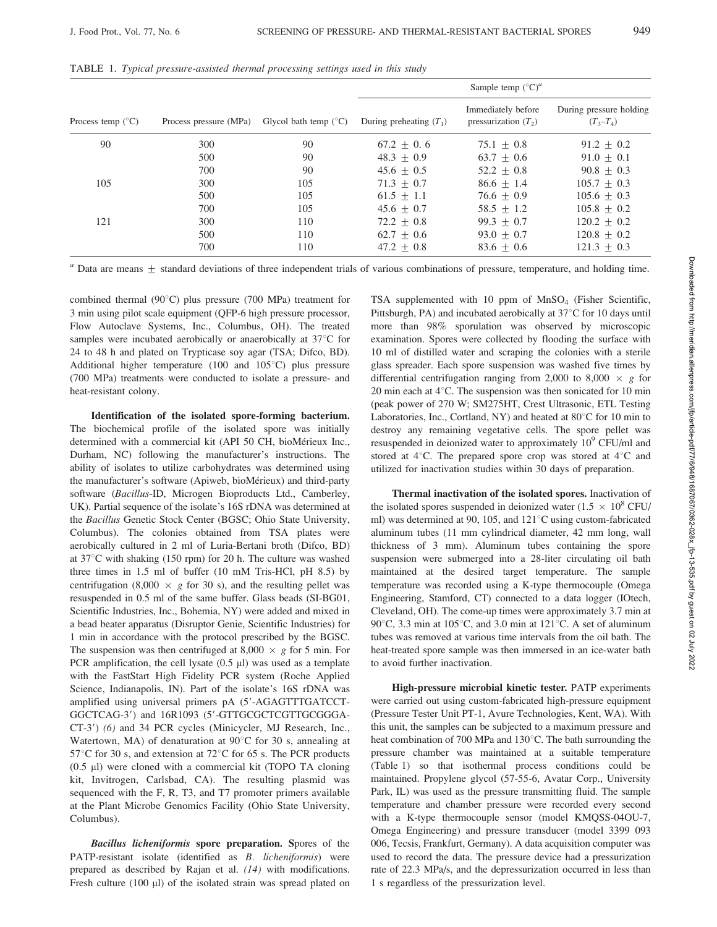|                            | Process pressure (MPa) | Glycol bath temp $(^{\circ}C)$ | Sample temp $({}^{\circ}C)^{a}$ |                                              |                                            |  |
|----------------------------|------------------------|--------------------------------|---------------------------------|----------------------------------------------|--------------------------------------------|--|
| Process temp $(^{\circ}C)$ |                        |                                | During preheating $(T_1)$       | Immediately before<br>pressurization $(T_2)$ | During pressure holding<br>$(T_{3}-T_{4})$ |  |
| 90                         | 300                    | 90                             | $67.2 + 0.6$                    | $75.1 + 0.8$                                 | $91.2 + 0.2$                               |  |
|                            | 500                    | 90                             | $48.3 + 0.9$                    | $63.7 + 0.6$                                 | $91.0 + 0.1$                               |  |
|                            | 700                    | 90                             | $45.6 + 0.5$                    | $52.2 + 0.8$                                 | $90.8 \pm 0.3$                             |  |
| 105                        | 300                    | 105                            | $71.3 + 0.7$                    | $86.6 + 1.4$                                 | $105.7 \pm 0.3$                            |  |
|                            | 500                    | 105                            | $61.5 + 1.1$                    | $76.6 \pm 0.9$                               | $105.6 + 0.3$                              |  |
|                            | 700                    | 105                            | $45.6 + 0.7$                    | $58.5 + 1.2$                                 | $105.8 \pm 0.2$                            |  |
| 121                        | 300                    | 110                            | $72.2 + 0.8$                    | $99.3 + 0.7$                                 | $120.2 + 0.2$                              |  |
|                            | 500                    | 110                            | $62.7 + 0.6$                    | $93.0 + 0.7$                                 | $120.8 \pm 0.2$                            |  |
|                            | 700                    | 110                            | $47.2 + 0.8$                    | $83.6 + 0.6$                                 | $121.3 + 0.3$                              |  |

TABLE 1. Typical pressure-assisted thermal processing settings used in this study

 $a$  Data are means  $\pm$  standard deviations of three independent trials of various combinations of pressure, temperature, and holding time.

combined thermal (90 $^{\circ}$ C) plus pressure (700 MPa) treatment for 3 min using pilot scale equipment (QFP-6 high pressure processor, Flow Autoclave Systems, Inc., Columbus, OH). The treated samples were incubated aerobically or anaerobically at  $37^{\circ}$ C for 24 to 48 h and plated on Trypticase soy agar (TSA; Difco, BD). Additional higher temperature (100 and  $105^{\circ}$ C) plus pressure (700 MPa) treatments were conducted to isolate a pressure- and heat-resistant colony.

Identification of the isolated spore-forming bacterium. The biochemical profile of the isolated spore was initially determined with a commercial kit (API 50 CH, bioMérieux Inc., Durham, NC) following the manufacturer's instructions. The ability of isolates to utilize carbohydrates was determined using the manufacturer's software (Apiweb, bioMérieux) and third-party software (Bacillus-ID, Microgen Bioproducts Ltd., Camberley, UK). Partial sequence of the isolate's 16S rDNA was determined at the Bacillus Genetic Stock Center (BGSC; Ohio State University, Columbus). The colonies obtained from TSA plates were aerobically cultured in 2 ml of Luria-Bertani broth (Difco, BD) at  $37^{\circ}$ C with shaking (150 rpm) for 20 h. The culture was washed three times in 1.5 ml of buffer (10 mM Tris-HCl, pH 8.5) by centrifugation (8,000  $\times$  g for 30 s), and the resulting pellet was resuspended in 0.5 ml of the same buffer. Glass beads (SI-BG01, Scientific Industries, Inc., Bohemia, NY) were added and mixed in a bead beater apparatus (Disruptor Genie, Scientific Industries) for 1 min in accordance with the protocol prescribed by the BGSC. The suspension was then centrifuged at 8,000  $\times$  g for 5 min. For PCR amplification, the cell lysate  $(0.5 \mu l)$  was used as a template with the FastStart High Fidelity PCR system (Roche Applied Science, Indianapolis, IN). Part of the isolate's 16S rDNA was amplified using universal primers pA (5'-AGAGTTTGATCCT-GGCTCAG-3') and 16R1093 (5'-GTTGCGCTCGTTGCGGGA-CT-39) (6) and 34 PCR cycles (Minicycler, MJ Research, Inc., Watertown, MA) of denaturation at  $90^{\circ}$ C for 30 s, annealing at 57<sup>°</sup>C for 30 s, and extension at 72<sup>°</sup>C for 65 s. The PCR products  $(0.5 \mu l)$  were cloned with a commercial kit (TOPO TA cloning kit, Invitrogen, Carlsbad, CA). The resulting plasmid was sequenced with the F, R, T3, and T7 promoter primers available at the Plant Microbe Genomics Facility (Ohio State University, Columbus).

Bacillus licheniformis spore preparation. Spores of the PATP-resistant isolate (identified as B. licheniformis) were prepared as described by Rajan et al. (14) with modifications. Fresh culture  $(100 \mu l)$  of the isolated strain was spread plated on TSA supplemented with 10 ppm of  $MnSO<sub>4</sub>$  (Fisher Scientific, Pittsburgh, PA) and incubated aerobically at  $37^{\circ}$ C for 10 days until more than 98% sporulation was observed by microscopic examination. Spores were collected by flooding the surface with 10 ml of distilled water and scraping the colonies with a sterile glass spreader. Each spore suspension was washed five times by differential centrifugation ranging from 2,000 to 8,000  $\times$  g for 20 min each at  $4^{\circ}$ C. The suspension was then sonicated for 10 min (peak power of 270 W; SM275HT, Crest Ultrasonic, ETL Testing Laboratories, Inc., Cortland, NY) and heated at  $80^{\circ}$ C for 10 min to destroy any remaining vegetative cells. The spore pellet was resuspended in deionized water to approximately 10<sup>9</sup> CFU/ml and stored at  $4^{\circ}$ C. The prepared spore crop was stored at  $4^{\circ}$ C and utilized for inactivation studies within 30 days of preparation.

Thermal inactivation of the isolated spores. Inactivation of the isolated spores suspended in deionized water (1.5  $\times$  10<sup>8</sup> CFU/ ml) was determined at 90, 105, and  $121^{\circ}$ C using custom-fabricated aluminum tubes (11 mm cylindrical diameter, 42 mm long, wall thickness of 3 mm). Aluminum tubes containing the spore suspension were submerged into a 28-liter circulating oil bath maintained at the desired target temperature. The sample temperature was recorded using a K-type thermocouple (Omega Engineering, Stamford, CT) connected to a data logger (IOtech, Cleveland, OH). The come-up times were approximately 3.7 min at 90 $^{\circ}$ C, 3.3 min at 105 $^{\circ}$ C, and 3.0 min at 121 $^{\circ}$ C. A set of aluminum tubes was removed at various time intervals from the oil bath. The heat-treated spore sample was then immersed in an ice-water bath to avoid further inactivation.

High-pressure microbial kinetic tester. PATP experiments were carried out using custom-fabricated high-pressure equipment (Pressure Tester Unit PT-1, Avure Technologies, Kent, WA). With this unit, the samples can be subjected to a maximum pressure and heat combination of 700 MPa and  $130^{\circ}$ C. The bath surrounding the pressure chamber was maintained at a suitable temperature (Table 1) so that isothermal process conditions could be maintained. Propylene glycol (57-55-6, Avatar Corp., University Park, IL) was used as the pressure transmitting fluid. The sample temperature and chamber pressure were recorded every second with a K-type thermocouple sensor (model KMQSS-04OU-7, Omega Engineering) and pressure transducer (model 3399 093 006, Tecsis, Frankfurt, Germany). A data acquisition computer was used to record the data. The pressure device had a pressurization rate of 22.3 MPa/s, and the depressurization occurred in less than 1 s regardless of the pressurization level.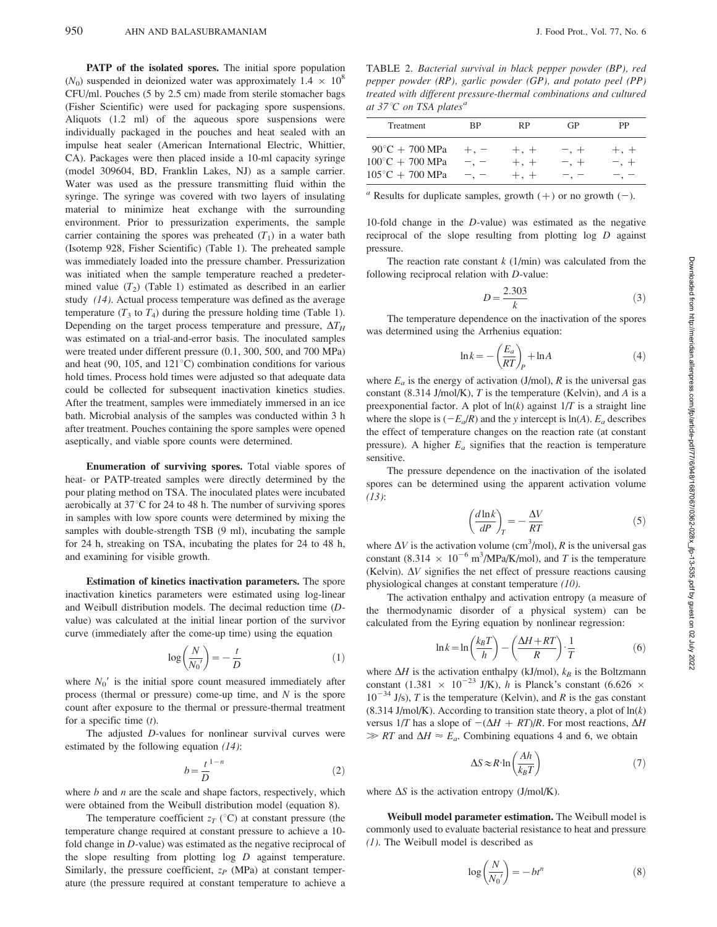PATP of the isolated spores. The initial spore population  $(N_0)$  suspended in deionized water was approximately 1.4  $\times$  10<sup>8</sup> CFU/ml. Pouches (5 by 2.5 cm) made from sterile stomacher bags (Fisher Scientific) were used for packaging spore suspensions. Aliquots (1.2 ml) of the aqueous spore suspensions were individually packaged in the pouches and heat sealed with an impulse heat sealer (American International Electric, Whittier, CA). Packages were then placed inside a 10-ml capacity syringe (model 309604, BD, Franklin Lakes, NJ) as a sample carrier. Water was used as the pressure transmitting fluid within the syringe. The syringe was covered with two layers of insulating material to minimize heat exchange with the surrounding environment. Prior to pressurization experiments, the sample carrier containing the spores was preheated  $(T_1)$  in a water bath (Isotemp 928, Fisher Scientific) (Table 1). The preheated sample was immediately loaded into the pressure chamber. Pressurization was initiated when the sample temperature reached a predetermined value  $(T_2)$  (Table 1) estimated as described in an earlier study (14). Actual process temperature was defined as the average temperature  $(T_3$  to  $T_4$ ) during the pressure holding time (Table 1). Depending on the target process temperature and pressure,  $\Delta T_H$ was estimated on a trial-and-error basis. The inoculated samples were treated under different pressure (0.1, 300, 500, and 700 MPa) and heat (90, 105, and  $121^{\circ}$ C) combination conditions for various hold times. Process hold times were adjusted so that adequate data could be collected for subsequent inactivation kinetics studies. After the treatment, samples were immediately immersed in an ice bath. Microbial analysis of the samples was conducted within 3 h after treatment. Pouches containing the spore samples were opened aseptically, and viable spore counts were determined.

Enumeration of surviving spores. Total viable spores of heat- or PATP-treated samples were directly determined by the pour plating method on TSA. The inoculated plates were incubated aerobically at  $37^{\circ}$ C for 24 to 48 h. The number of surviving spores in samples with low spore counts were determined by mixing the samples with double-strength TSB (9 ml), incubating the sample for 24 h, streaking on TSA, incubating the plates for 24 to 48 h, and examining for visible growth.

Estimation of kinetics inactivation parameters. The spore inactivation kinetics parameters were estimated using log-linear and Weibull distribution models. The decimal reduction time (Dvalue) was calculated at the initial linear portion of the survivor curve (immediately after the come-up time) using the equation

$$
\log\left(\frac{N}{N_0'}\right) = -\frac{t}{D} \tag{1}
$$

where  $N_0'$  is the initial spore count measured immediately after process (thermal or pressure) come-up time, and N is the spore count after exposure to the thermal or pressure-thermal treatment for a specific time  $(t)$ .

The adjusted D-values for nonlinear survival curves were estimated by the following equation  $(14)$ :

$$
b = \frac{t^{1-n}}{D} \tag{2}
$$

where  $b$  and  $n$  are the scale and shape factors, respectively, which were obtained from the Weibull distribution model (equation 8).

The temperature coefficient  $z_T$  (°C) at constant pressure (the temperature change required at constant pressure to achieve a 10 fold change in D-value) was estimated as the negative reciprocal of the slope resulting from plotting log D against temperature. Similarly, the pressure coefficient,  $z_P$  (MPa) at constant temperature (the pressure required at constant temperature to achieve a

TABLE 2. Bacterial survival in black pepper powder (BP), red pepper powder (RP), garlic powder (GP), and potato peel (PP) treated with different pressure-thermal combinations and cultured at 37 $\mathrm{C}$  on TSA plates<sup>a</sup>

| <b>Treatment</b>                                                                   | <b>BP</b> | R <sub>P</sub>                      | GP                     | PP                     |
|------------------------------------------------------------------------------------|-----------|-------------------------------------|------------------------|------------------------|
| $90^{\circ}$ C + 700 MPa<br>$100^{\circ}$ C + 700 MPa<br>$105^{\circ}$ C + 700 MPa | $+$ . $-$ | $+$ , $+$<br>$+$ , $+$<br>$+$ . $+$ | $-$ , $+$<br>$-$ . $+$ | $+$ , $+$<br>$-$ , $+$ |

<sup>a</sup> Results for duplicate samples, growth  $(+)$  or no growth  $(-)$ .

10-fold change in the D-value) was estimated as the negative reciprocal of the slope resulting from plotting log D against pressure.

The reaction rate constant  $k(1/\text{min})$  was calculated from the following reciprocal relation with D-value:

$$
D = \frac{2.303}{k} \tag{3}
$$

The temperature dependence on the inactivation of the spores was determined using the Arrhenius equation:

$$
\ln k = -\left(\frac{E_a}{RT}\right)_P + \ln A \tag{4}
$$

where  $E_a$  is the energy of activation (J/mol), R is the universal gas constant (8.314 J/mol/K),  $T$  is the temperature (Kelvin), and  $A$  is a preexponential factor. A plot of  $ln(k)$  against  $1/T$  is a straight line where the slope is  $(-E_a/R)$  and the y intercept is ln(A).  $E_a$  describes the effect of temperature changes on the reaction rate (at constant pressure). A higher  $E_a$  signifies that the reaction is temperature sensitive.

The pressure dependence on the inactivation of the isolated spores can be determined using the apparent activation volume (13):

$$
\left(\frac{d\ln k}{dP}\right)_T = -\frac{\Delta V}{RT} \tag{5}
$$

where  $\Delta V$  is the activation volume (cm<sup>3</sup>/mol), R is the universal gas constant (8.314  $\times$  10<sup>-6</sup> m<sup>3</sup>/MPa/K/mol), and T is the temperature (Kelvin).  $\Delta V$  signifies the net effect of pressure reactions causing physiological changes at constant temperature (10).

The activation enthalpy and activation entropy (a measure of the thermodynamic disorder of a physical system) can be calculated from the Eyring equation by nonlinear regression:

$$
\ln k = \ln \left(\frac{k_B T}{h}\right) - \left(\frac{\Delta H + RT}{R}\right) \cdot \frac{1}{T}
$$
 (6)

where  $\Delta H$  is the activation enthalpy (kJ/mol),  $k_B$  is the Boltzmann constant (1.381  $\times$  10<sup>-23</sup> J/K), h is Planck's constant (6.626  $\times$  $10^{-34}$  J/s), T is the temperature (Kelvin), and R is the gas constant  $(8.314 \text{ J/mol/K})$ . According to transition state theory, a plot of  $\ln(k)$ versus  $1/T$  has a slope of  $-(\Delta H + RT)/R$ . For most reactions,  $\Delta H$  $\gg RT$  and  $\Delta H \approx E_a$ . Combining equations 4 and 6, we obtain

$$
\Delta S \approx R \cdot \ln \left( \frac{Ah}{k_B T} \right) \tag{7}
$$

where  $\Delta S$  is the activation entropy (J/mol/K).

Weibull model parameter estimation. The Weibull model is commonly used to evaluate bacterial resistance to heat and pressure  $(1)$ . The Weibull model is described as

$$
\log\left(\frac{N}{N_0'}\right) = -bt^n \tag{8}
$$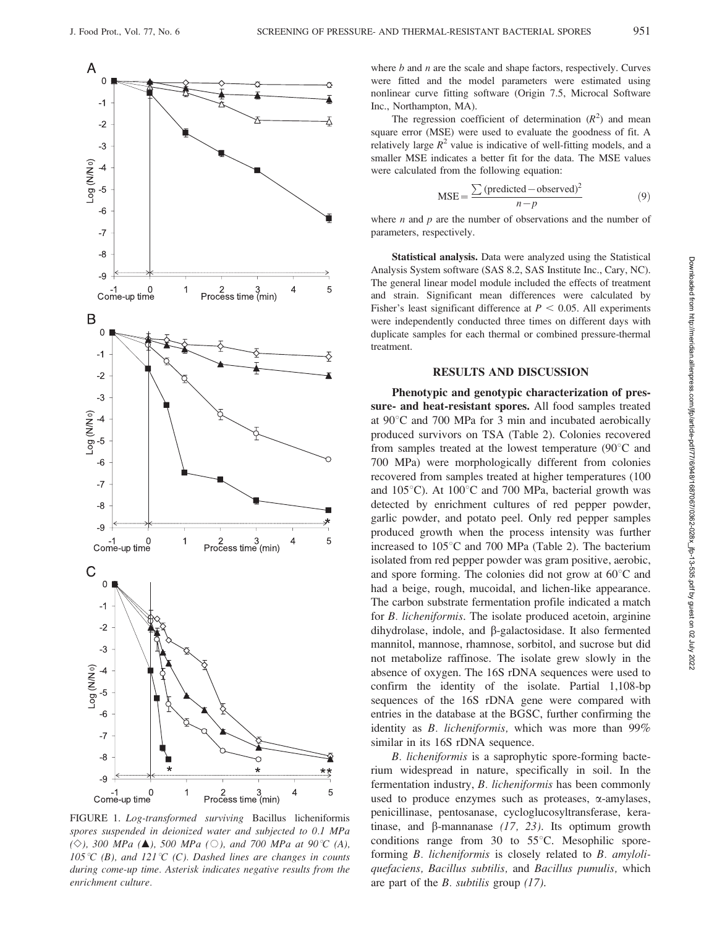

FIGURE 1. Log-transformed surviving Bacillus licheniformis spores suspended in deionized water and subjected to 0.1 MPa  $(\diamondsuit)$ , 300 MPa ( $\triangle$ ), 500 MPa ( $\circlearrowright$ ), and 700 MPa at 90 $\circ$ C (A), 105 °C (B), and 121 °C (C). Dashed lines are changes in counts during come-up time. Asterisk indicates negative results from the enrichment culture.

where  $b$  and  $n$  are the scale and shape factors, respectively. Curves were fitted and the model parameters were estimated using nonlinear curve fitting software (Origin 7.5, Microcal Software Inc., Northampton, MA).

The regression coefficient of determination  $(R^2)$  and mean square error (MSE) were used to evaluate the goodness of fit. A relatively large  $R^2$  value is indicative of well-fitting models, and a smaller MSE indicates a better fit for the data. The MSE values were calculated from the following equation:

$$
MSE = \frac{\sum (predicted - observed)^2}{n - p}
$$
 (9)

where  $n$  and  $p$  are the number of observations and the number of parameters, respectively.

Statistical analysis. Data were analyzed using the Statistical Analysis System software (SAS 8.2, SAS Institute Inc., Cary, NC). The general linear model module included the effects of treatment and strain. Significant mean differences were calculated by Fisher's least significant difference at  $P < 0.05$ . All experiments were independently conducted three times on different days with duplicate samples for each thermal or combined pressure-thermal treatment.

## RESULTS AND DISCUSSION

Phenotypic and genotypic characterization of pressure- and heat-resistant spores. All food samples treated at  $90^{\circ}$ C and 700 MPa for 3 min and incubated aerobically produced survivors on TSA (Table 2). Colonies recovered from samples treated at the lowest temperature  $(90^{\circ}C \text{ and }$ 700 MPa) were morphologically different from colonies recovered from samples treated at higher temperatures (100 and  $105^{\circ}$ C). At  $100^{\circ}$ C and 700 MPa, bacterial growth was detected by enrichment cultures of red pepper powder, garlic powder, and potato peel. Only red pepper samples produced growth when the process intensity was further increased to  $105^{\circ}$ C and 700 MPa (Table 2). The bacterium isolated from red pepper powder was gram positive, aerobic, and spore forming. The colonies did not grow at  $60^{\circ}$ C and had a beige, rough, mucoidal, and lichen-like appearance. The carbon substrate fermentation profile indicated a match for B. licheniformis. The isolate produced acetoin, arginine dihydrolase, indole, and  $\beta$ -galactosidase. It also fermented mannitol, mannose, rhamnose, sorbitol, and sucrose but did not metabolize raffinose. The isolate grew slowly in the absence of oxygen. The 16S rDNA sequences were used to confirm the identity of the isolate. Partial 1,108-bp sequences of the 16S rDNA gene were compared with entries in the database at the BGSC, further confirming the identity as *B*. licheniformis, which was more than 99% similar in its 16S rDNA sequence.

B. licheniformis is a saprophytic spore-forming bacterium widespread in nature, specifically in soil. In the fermentation industry, B. licheniformis has been commonly used to produce enzymes such as proteases,  $\alpha$ -amylases, penicillinase, pentosanase, cycloglucosyltransferase, keratinase, and  $\beta$ -mannanase (17, 23). Its optimum growth conditions range from 30 to  $55^{\circ}$ C. Mesophilic sporeforming B. licheniformis is closely related to B. amyloliquefaciens, Bacillus subtilis, and Bacillus pumulis, which are part of the  $B$ . *subtilis* group  $(17)$ .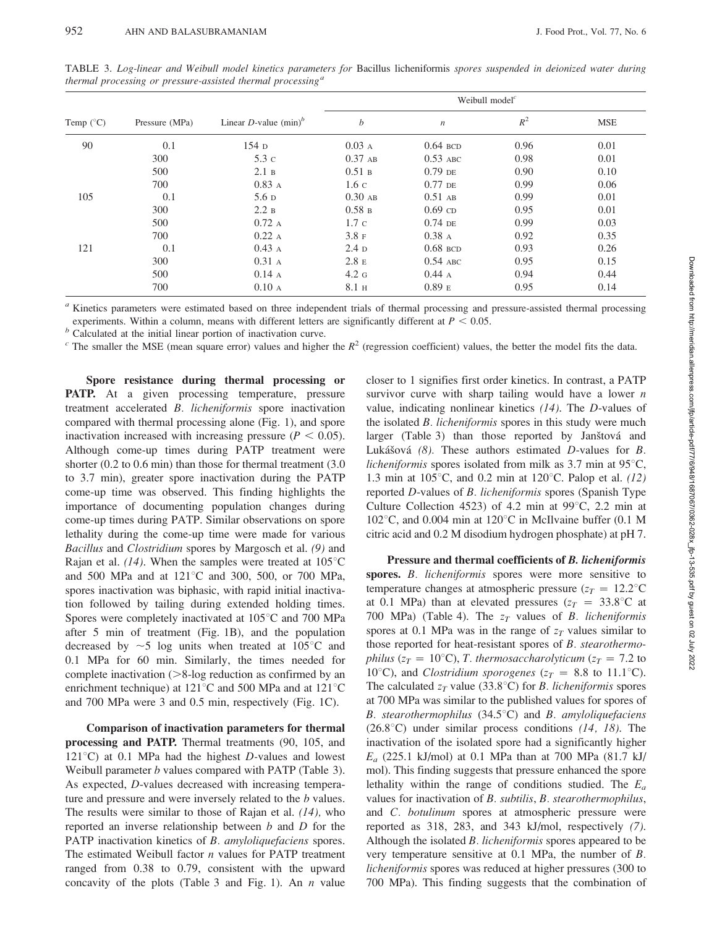|                    |                |                             | Weibull model <sup><math>c</math></sup> |                  |       |            |
|--------------------|----------------|-----------------------------|-----------------------------------------|------------------|-------|------------|
| Temp $(^{\circ}C)$ | Pressure (MPa) | Linear $D$ -value $(min)^b$ | $\boldsymbol{b}$                        | $\boldsymbol{n}$ | $R^2$ | <b>MSE</b> |
| 90                 | 0.1            | 154 <sub>D</sub>            | 0.03A                                   | $0.64$ BCD       | 0.96  | 0.01       |
|                    | 300            | 5.3 c                       | $0.37$ AB                               | $0.53$ ABC       | 0.98  | 0.01       |
|                    | 500            | 2.1 <sub>B</sub>            | 0.51B                                   | $0.79$ DE        | 0.90  | 0.10       |
|                    | 700            | 0.83A                       | 1.6c                                    | $0.77$ DE        | 0.99  | 0.06       |
| 105                | 0.1            | 5.6 <sub>D</sub>            | $0.30$ AB                               | $0.51$ AB        | 0.99  | 0.01       |
|                    | 300            | 2.2 <sub>B</sub>            | 0.58B                                   | $0.69$ cd        | 0.95  | 0.01       |
|                    | 500            | 0.72A                       | 1.7c                                    | $0.74$ DE        | 0.99  | 0.03       |
|                    | 700            | 0.22 A                      | 3.8 F                                   | $0.38$ A         | 0.92  | 0.35       |
| 121                | 0.1            | 0.43A                       | 2.4 <sub>D</sub>                        | $0.68$ BCD       | 0.93  | 0.26       |
|                    | 300            | $0.31$ A                    | 2.8E                                    | $0.54$ ABC       | 0.95  | 0.15       |
|                    | 500            | 0.14A                       | $4.2\text{ G}$                          | 0.44A            | 0.94  | 0.44       |
|                    | 700            | 0.10 A                      | 8.1 H                                   | 0.89E            | 0.95  | 0.14       |

TABLE 3. Log-linear and Weibull model kinetics parameters for Bacillus licheniformis spores suspended in deionized water during thermal processing or pressure-assisted thermal processing<sup>a</sup>

<sup>a</sup> Kinetics parameters were estimated based on three independent trials of thermal processing and pressure-assisted thermal processing experiments. Within a column, means with different letters are significantly different at  $P < 0.05$ . b Calculated at the initial linear portion of inactivation curve.

<sup>c</sup> The smaller the MSE (mean square error) values and higher the  $R^2$  (regression coefficient) values, the better the model fits the data.

Spore resistance during thermal processing or PATP. At a given processing temperature, pressure treatment accelerated B. licheniformis spore inactivation compared with thermal processing alone (Fig. 1), and spore inactivation increased with increasing pressure ( $P < 0.05$ ). Although come-up times during PATP treatment were shorter (0.2 to 0.6 min) than those for thermal treatment (3.0 to 3.7 min), greater spore inactivation during the PATP come-up time was observed. This finding highlights the importance of documenting population changes during come-up times during PATP. Similar observations on spore lethality during the come-up time were made for various Bacillus and Clostridium spores by Margosch et al. (9) and Rajan et al.  $(14)$ . When the samples were treated at 105<sup>°</sup>C and 500 MPa and at  $121^{\circ}$ C and 300, 500, or 700 MPa, spores inactivation was biphasic, with rapid initial inactivation followed by tailing during extended holding times. Spores were completely inactivated at  $105^{\circ}$ C and 700 MPa after 5 min of treatment (Fig. 1B), and the population decreased by  $\sim$  5 log units when treated at 105 $\degree$ C and 0.1 MPa for 60 min. Similarly, the times needed for complete inactivation  $(>=8$ -log reduction as confirmed by an enrichment technique) at  $121^{\circ}$ C and 500 MPa and at  $121^{\circ}$ C and 700 MPa were 3 and 0.5 min, respectively (Fig. 1C).

Comparison of inactivation parameters for thermal processing and PATP. Thermal treatments (90, 105, and 121<sup>o</sup>C) at 0.1 MPa had the highest *D*-values and lowest Weibull parameter *b* values compared with PATP (Table 3). As expected, D-values decreased with increasing temperature and pressure and were inversely related to the b values. The results were similar to those of Rajan et al. (14), who reported an inverse relationship between b and D for the PATP inactivation kinetics of *B. amyloliquefaciens* spores. The estimated Weibull factor  $n$  values for PATP treatment ranged from 0.38 to 0.79, consistent with the upward concavity of the plots (Table 3 and Fig. 1). An  $n$  value closer to 1 signifies first order kinetics. In contrast, a PATP survivor curve with sharp tailing would have a lower  $n$ value, indicating nonlinear kinetics (14). The D-values of the isolated *B*. *licheniformis* spores in this study were much larger (Table 3) than those reported by Janštová and Lukášová  $(8)$ . These authors estimated D-values for B. licheniformis spores isolated from milk as 3.7 min at  $95^{\circ}$ C, 1.3 min at  $105^{\circ}$ C, and 0.2 min at  $120^{\circ}$ C. Palop et al. (12) reported D-values of B. licheniformis spores (Spanish Type Culture Collection 4523) of 4.2 min at  $99^{\circ}$ C, 2.2 min at 102 $^{\circ}$ C, and 0.004 min at 120 $^{\circ}$ C in McIlvaine buffer (0.1 M citric acid and 0.2 M disodium hydrogen phosphate) at pH 7.

Pressure and thermal coefficients of B. licheniformis spores. B. licheniformis spores were more sensitive to temperature changes at atmospheric pressure ( $z_T = 12.2$ <sup>o</sup>C at 0.1 MPa) than at elevated pressures ( $z_T = 33.8$ °C at 700 MPa) (Table 4). The  $z_T$  values of B. licheniformis spores at 0.1 MPa was in the range of  $z_T$  values similar to those reported for heat-resistant spores of B. stearothermophilus ( $z_T = 10^{\circ}\text{C}$ ), T. thermosaccharolyticum ( $z_T = 7.2$  to 10<sup>o</sup>C), and *Clostridium sporogenes* ( $z_T = 8.8$  to 11.1<sup>o</sup>C). The calculated  $z_T$  value (33.8°C) for *B*. *licheniformis* spores at 700 MPa was similar to the published values for spores of B. stearothermophilus (34.5 $^{\circ}$ C) and B. amyloliquefaciens  $(26.8^{\circ}C)$  under similar process conditions  $(14, 18)$ . The inactivation of the isolated spore had a significantly higher  $E_a$  (225.1 kJ/mol) at 0.1 MPa than at 700 MPa (81.7 kJ/ mol). This finding suggests that pressure enhanced the spore lethality within the range of conditions studied. The  $E_a$ values for inactivation of B. subtilis, B. stearothermophilus, and C. botulinum spores at atmospheric pressure were reported as 318, 283, and 343 kJ/mol, respectively (7). Although the isolated B. licheniformis spores appeared to be very temperature sensitive at 0.1 MPa, the number of B. licheniformis spores was reduced at higher pressures (300 to 700 MPa). This finding suggests that the combination of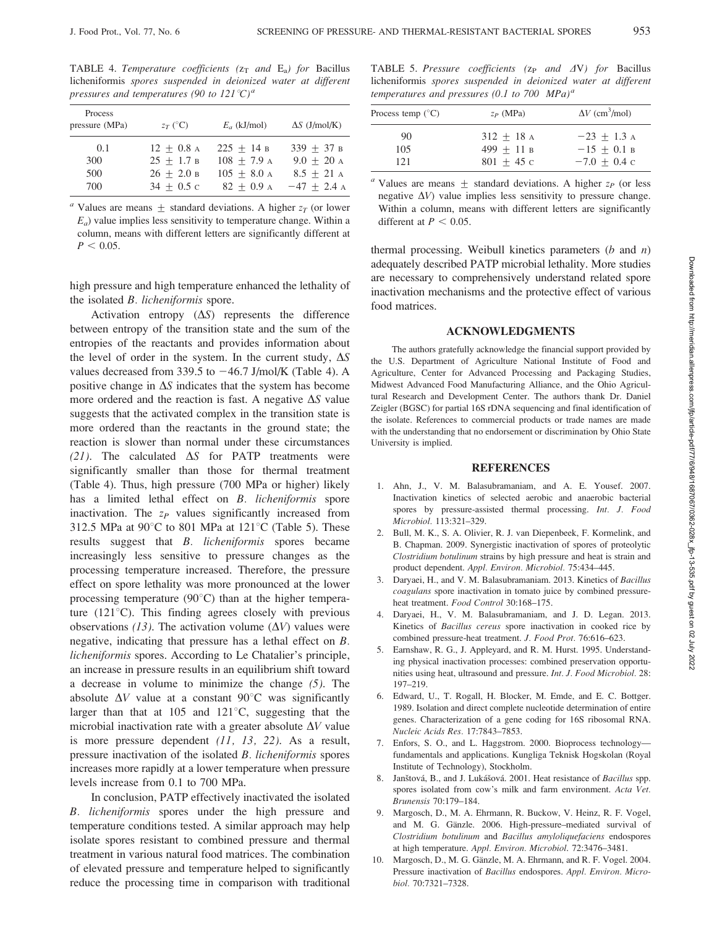TABLE 4. Temperature coefficients ( $z_T$  and  $E_a$ ) for Bacillus licheniformis spores suspended in deionized water at different pressures and temperatures (90 to  $121^{\circ}$ C)<sup>a</sup>

| Process<br>pressure (MPa) | $z_T$ (°C)   | $E_a$ (kJ/mol) | $\Delta S$ (J/mol/K) |
|---------------------------|--------------|----------------|----------------------|
| 0.1                       | $12 + 0.8$ A | $225 + 14 B$   | $339 + 37 B$         |
| 300                       | $25 + 1.7$ B | $108 + 7.9$ A  | $9.0 + 20 A$         |
| 500                       | $26 + 2.0$ B | $105 + 8.0 A$  | $8.5 + 21 A$         |
| 700                       | $34 + 0.5$ c | $82 + 0.9$ A   | $-47 + 2.4$ A        |

<sup>a</sup> Values are means  $\pm$  standard deviations. A higher  $z_T$  (or lower  $E_a$ ) value implies less sensitivity to temperature change. Within a column, means with different letters are significantly different at  $P < 0.05$ .

high pressure and high temperature enhanced the lethality of the isolated B. licheniformis spore.

Activation entropy  $(\Delta S)$  represents the difference between entropy of the transition state and the sum of the entropies of the reactants and provides information about the level of order in the system. In the current study,  $\Delta S$ values decreased from 339.5 to  $-46.7$  J/mol/K (Table 4). A positive change in  $\Delta S$  indicates that the system has become more ordered and the reaction is fast. A negative  $\Delta S$  value suggests that the activated complex in the transition state is more ordered than the reactants in the ground state; the reaction is slower than normal under these circumstances (21). The calculated  $\Delta S$  for PATP treatments were significantly smaller than those for thermal treatment (Table 4). Thus, high pressure (700 MPa or higher) likely has a limited lethal effect on *B*. *licheniformis* spore inactivation. The  $z_P$  values significantly increased from 312.5 MPa at  $90^{\circ}$ C to 801 MPa at 121<sup>°</sup>C (Table 5). These results suggest that B. licheniformis spores became increasingly less sensitive to pressure changes as the processing temperature increased. Therefore, the pressure effect on spore lethality was more pronounced at the lower processing temperature ( $90^{\circ}$ C) than at the higher temperature  $(121^{\circ}C)$ . This finding agrees closely with previous observations (13). The activation volume ( $\Delta V$ ) values were negative, indicating that pressure has a lethal effect on B. licheniformis spores. According to Le Chatalier's principle, an increase in pressure results in an equilibrium shift toward a decrease in volume to minimize the change (5). The absolute  $\Delta V$  value at a constant 90<sup>°</sup>C was significantly larger than that at 105 and  $121^{\circ}$ C, suggesting that the microbial inactivation rate with a greater absolute  $\Delta V$  value is more pressure dependent (11, 13, 22). As a result, pressure inactivation of the isolated B. licheniformis spores increases more rapidly at a lower temperature when pressure levels increase from 0.1 to 700 MPa.

In conclusion, PATP effectively inactivated the isolated B. licheniformis spores under the high pressure and temperature conditions tested. A similar approach may help isolate spores resistant to combined pressure and thermal treatment in various natural food matrices. The combination of elevated pressure and temperature helped to significantly reduce the processing time in comparison with traditional

TABLE 5. Pressure coefficients ( $z_P$  and  $\Delta V$ ) for Bacillus licheniformis spores suspended in deionized water at different temperatures and pressures (0.1 to 700  $MPa)^a$ 

| $\Delta V$ (cm <sup>3</sup> /mol)                          |
|------------------------------------------------------------|
| $-23 + 1.3$ A                                              |
| $-15 + 0.1$ B                                              |
| $-7.0 + 0.4$ c                                             |
| $z_P$ (MPa)<br>$312 + 18$ A<br>$499 + 11 B$<br>$801 + 45c$ |

Values are means  $\pm$  standard deviations. A higher  $z_P$  (or less negative  $\Delta V$ ) value implies less sensitivity to pressure change. Within a column, means with different letters are significantly different at  $P < 0.05$ .

thermal processing. Weibull kinetics parameters  $(b \text{ and } n)$ adequately described PATP microbial lethality. More studies are necessary to comprehensively understand related spore inactivation mechanisms and the protective effect of various food matrices.

#### ACKNOWLEDGMENTS

The authors gratefully acknowledge the financial support provided by the U.S. Department of Agriculture National Institute of Food and Agriculture, Center for Advanced Processing and Packaging Studies, Midwest Advanced Food Manufacturing Alliance, and the Ohio Agricultural Research and Development Center. The authors thank Dr. Daniel Zeigler (BGSC) for partial 16S rDNA sequencing and final identification of the isolate. References to commercial products or trade names are made with the understanding that no endorsement or discrimination by Ohio State University is implied.

#### **REFERENCES**

- 1. Ahn, J., V. M. Balasubramaniam, and A. E. Yousef. 2007. Inactivation kinetics of selected aerobic and anaerobic bacterial spores by pressure-assisted thermal processing. Int. J. Food Microbiol. 113:321–329.
- 2. Bull, M. K., S. A. Olivier, R. J. van Diepenbeek, F. Kormelink, and B. Chapman. 2009. Synergistic inactivation of spores of proteolytic Clostridium botulinum strains by high pressure and heat is strain and product dependent. Appl. Environ. Microbiol. 75:434–445.
- 3. Daryaei, H., and V. M. Balasubramaniam. 2013. Kinetics of Bacillus coagulans spore inactivation in tomato juice by combined pressureheat treatment. Food Control 30:168-175.
- 4. Daryaei, H., V. M. Balasubramaniam, and J. D. Legan. 2013. Kinetics of Bacillus cereus spore inactivation in cooked rice by combined pressure-heat treatment. J. Food Prot. 76:616–623.
- 5. Earnshaw, R. G., J. Appleyard, and R. M. Hurst. 1995. Understanding physical inactivation processes: combined preservation opportunities using heat, ultrasound and pressure. Int. J. Food Microbiol. 28: 197–219.
- 6. Edward, U., T. Rogall, H. Blocker, M. Emde, and E. C. Bottger. 1989. Isolation and direct complete nucleotide determination of entire genes. Characterization of a gene coding for 16S ribosomal RNA. Nucleic Acids Res. 17:7843–7853.
- 7. Enfors, S. O., and L. Haggstrom. 2000. Bioprocess technology fundamentals and applications. Kungliga Teknisk Hogskolan (Royal Institute of Technology), Stockholm.
- Janštová, B., and J. Lukášová. 2001. Heat resistance of Bacillus spp. spores isolated from cow's milk and farm environment. Acta Vet. Brunensis 70:179–184.
- 9. Margosch, D., M. A. Ehrmann, R. Buckow, V. Heinz, R. F. Vogel, and M. G. Gänzle. 2006. High-pressure–mediated survival of Clostridium botulinum and Bacillus amyloliquefaciens endospores at high temperature. Appl. Environ. Microbiol. 72:3476–3481.
- 10. Margosch, D., M. G. Gänzle, M. A. Ehrmann, and R. F. Vogel. 2004. Pressure inactivation of Bacillus endospores. Appl. Environ. Microbiol. 70:7321–7328.